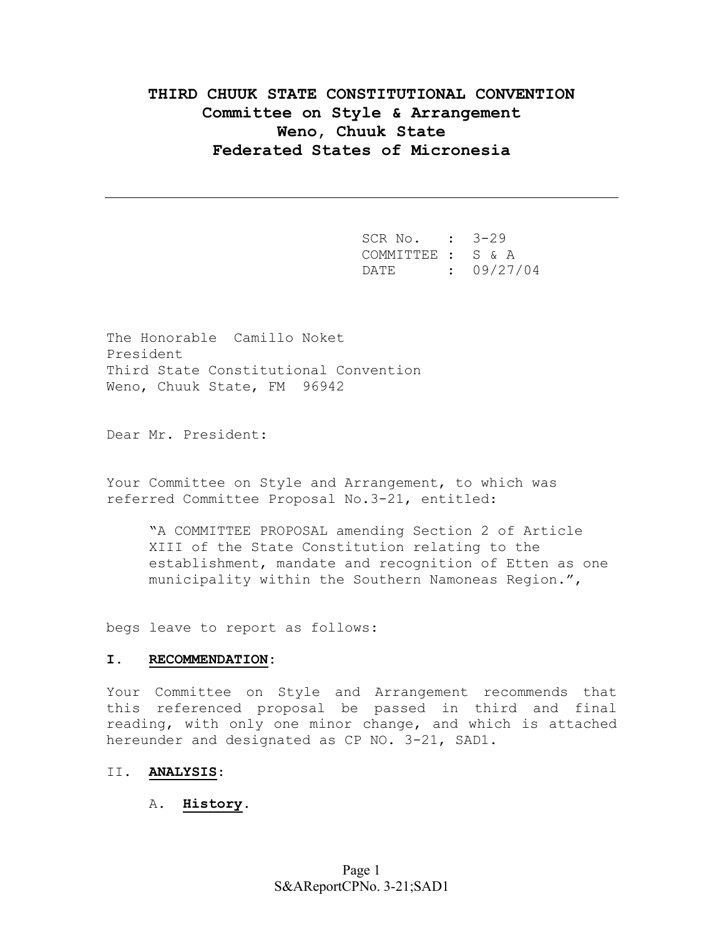# **THIRD CHUUK STATE CONSTITUTIONAL CONVENTION Committee on Style & Arrangement Weno, Chuuk State Federated States of Micronesia**

 SCR No. : 3-29 COMMITTEE : S & A DATE : 09/27/04

The Honorable Camillo Noket President Third State Constitutional Convention Weno, Chuuk State, FM 96942

Dear Mr. President:

Your Committee on Style and Arrangement, to which was referred Committee Proposal No.3-21, entitled:

"A COMMITTEE PROPOSAL amending Section 2 of Article XIII of the State Constitution relating to the establishment, mandate and recognition of Etten as one municipality within the Southern Namoneas Region.",

begs leave to report as follows:

### **I. RECOMMENDATION:**

Your Committee on Style and Arrangement recommends that this referenced proposal be passed in third and final reading, with only one minor change, and which is attached hereunder and designated as CP NO. 3-21, SAD1.

### II. **ANALYSIS**:

## A. **History**.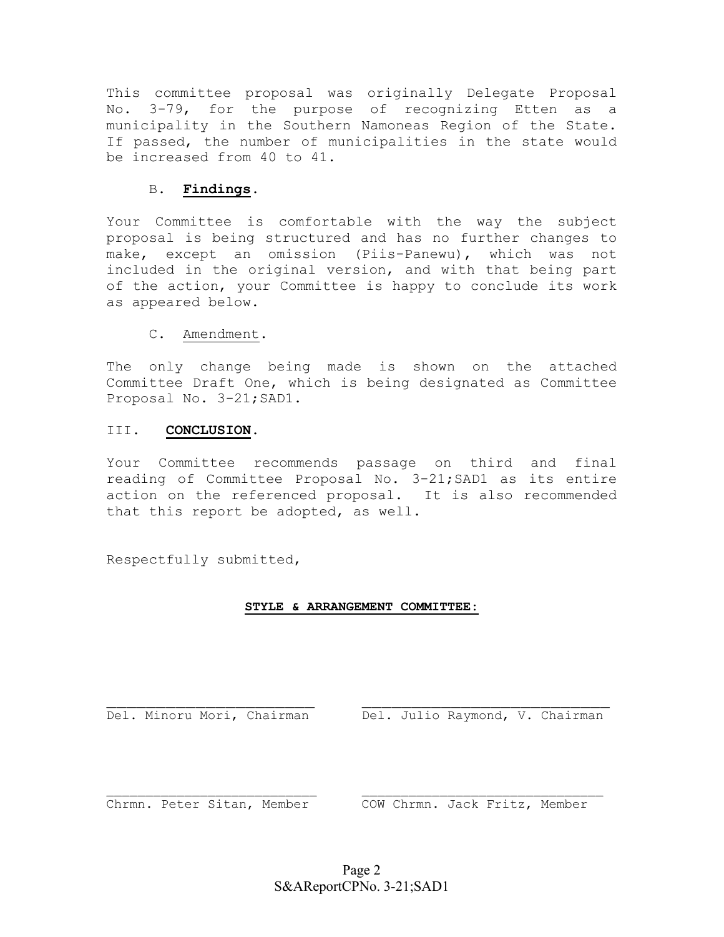This committee proposal was originally Delegate Proposal No. 3-79, for the purpose of recognizing Etten as a municipality in the Southern Namoneas Region of the State. If passed, the number of municipalities in the state would be increased from 40 to 41.

# B. **Findings**.

Your Committee is comfortable with the way the subject proposal is being structured and has no further changes to make, except an omission (Piis-Panewu), which was not included in the original version, and with that being part of the action, your Committee is happy to conclude its work as appeared below.

C. Amendment.

The only change being made is shown on the attached Committee Draft One, which is being designated as Committee Proposal No. 3-21;SAD1.

# III. **CONCLUSION**.

Your Committee recommends passage on third and final reading of Committee Proposal No. 3-21;SAD1 as its entire action on the referenced proposal. It is also recommended that this report be adopted, as well.

Respectfully submitted,

# **STYLE & ARRANGEMENT COMMITTEE:**

Del. Minoru Mori, Chairman Del. Julio Raymond, V. Chairman

Chrmn. Peter Sitan, Member COW Chrmn. Jack Fritz, Member

 $\_$  , and the set of the set of the set of the set of the set of the set of the set of the set of the set of the set of the set of the set of the set of the set of the set of the set of the set of the set of the set of th